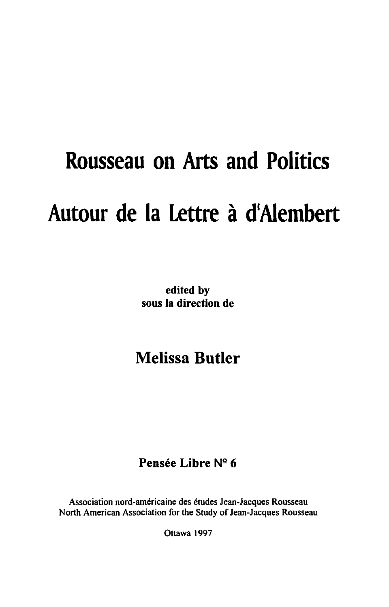# **Rousseau on Arts and Politics Autour de la Lettre a dlAiembert**

edited by sous la direction de

# Melissa **Butler**

### Pensée Libre Nº 6

Association nord-américaine des études Jean-Jacques Rousseau North American Association for the Study of Jean-Jacques Rousseau

Ottawa 1997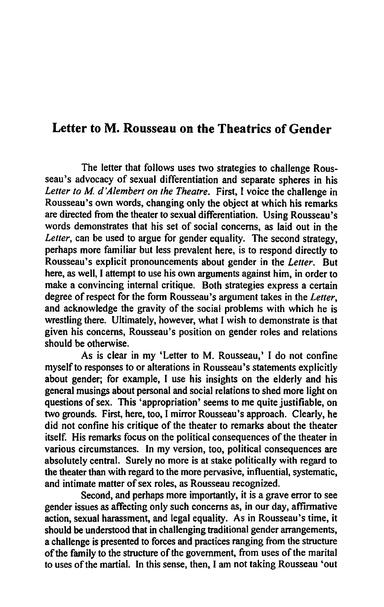## Letter to M. Rousseau on the Theatrics of Gender

The letter that follows uses two strategies to challenge Rousseau's advocacy of sexual differentiation and separate spheres in his *Leiter to M d 'A/embert on the Theatre.* First, I voice the challenge in Rousseau's own words, changing only the object at which his remarks are directed from the theater to sexual differentiation. Using Rousseau's words demonstrates that his set of social concerns, as laid out in the Letter, can be used to argue for gender equality. The second strategy, perhaps more familiar but less prevalent here, is to respond directly to Rousseau's explicit pronouncements about gender in the *Leiter.* But here, as well, I attempt to use his own arguments against him, in order to make a convincing internal critique. Both strategies express a certain degree of respect for the form Rousseau's argument takes in the *Leiter,*  and acknowledge the gravity of the social problems with which he is wrestling there. Ultimately, however, what I wish to demonstrate is that given his concerns, Rousseau's position on gender roles and relations should be otherwise.

As is clear in my 'Letter to M. Rousseau,' I do not confine myself to responses to or alterations in Rousseau's statements explicitly about gender; for example, I use his insights on the elderly and his general musings about personal and social relations to shed more light on questions of sex. This 'appropriation' seems to me quite justifiable, on two grounds. First, here, too, I mirror Rousseau's approach. Clearly, he did not confine his critique of the theater to remarks about the theater itself. His remarks focus on the political consequences of the theater in various circumstances. In my version, too, political consequences are absolutely central. Surely no more is at stake politically with regard to the theater than with regard to the more pervasive, influential, systematic, and intimate matter of sex roles, as Rousseau recognized.

Second, and perhaps more importantly, it is a grave error to see gender issues as affecting only such concerns as, in our day, affirmative action, sexual harassment, and legal equality. As in Rousseau's time, it should be understood that in challenging traditional gender arrangements, a challenge is presented to forces and practices ranging from the structure of the family to the structure of the government, from uses of the marital to uses of the martial. In this sense, then, I am not taking Rousseau 'out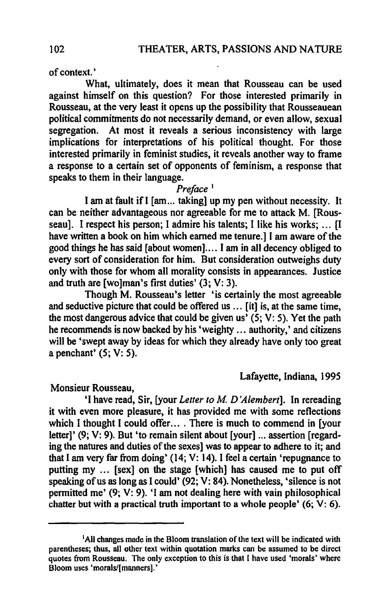of context.'

What, ultimately, does it mean that Rousseau can be used against himself on this question? For those interested primarily in Rousseau, at the very least it opens up the possibility that Rousseauean political commitments do not necessarily demand, or even allow, sexual segregation. At most it reveals a serious inconsistency with large implications for interpretations of his political thought. For those interested primarily in feminist studies, it reveals another way to frame a response to a certain set of opponents of feminism, a response that speaks to them in their language.

#### *Preface* <sup>1</sup>

I am at fault if I [am... taking] up my pen without necessity. It can be neither advantageous nor agreeable for me to attack M. [Rousseau]. I respect his person; I admire his talents; I like his works; ... II have written a book on him which earned me tenure.] I am aware of the good things he has said [about women]. ... I am in all decency obliged to every sort of consideration for him. But consideration outweighs duty only with those for whom all morality consists in appearances. Justice and truth are [wolman's first duties' (3; V: 3).

Though M. Rousseau's letter 'is certainly the most agreeable and seductive picture that could be offered us ... [it] is, at the same time, the most dangerous advice that could be given us'  $(5; V: 5)$ . Yet the path he recommends is now backed by his 'weighty ... authority,' and citizens will be 'swept away by ideas for which they already have only too great a penchant'  $(5; V: 5)$ .

#### Lafayette, Indiana, 1995

Monsieur Rousseau,

'I have read, Sir, [your *Letter to M D 'Alembert].* In rereading it with even more pleasure, it has provided me with some reflections which I thought I could offer... . There is much to commend in [your letter]' (9; V: 9). But 'to remain silent about [your] ... assertion [regard-] ing the natures and duties of the sexes] was to appear to adhere to it; and that I am very far from doing' (14; V: 14). I feel a certain 'repugnance to putting my ... [sex] on the stage [which] has caused me to put off speaking of us as long as I could' (92; V: 84). Nonetheless, 'silence is not permitted me' (9; V: 9). 'I am not dealing here with vain philosophical chatter but with a practical truth important to a whole people'  $(6; V: 6)$ .

<sup>&</sup>lt;sup>1</sup>All changes made in the Bloom translation of the text will be indicated with parentheses; thus, all other text within quotation marks can be assumed to be direct quotes from Rousseau. The only exception to this is that I have used 'morals' where Bloom uses 'morals/[manners].'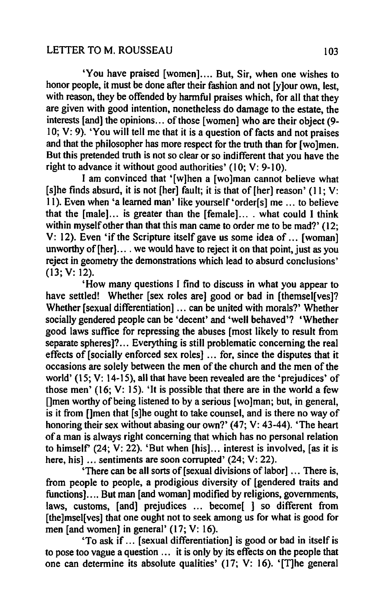#### LETTER TO M. ROUSSEAU 103

'You have praised [women] .... But, Sir, when one wishes to honor people, it must be done after their fashion and not [y]our own, lest, with reason, they be offended by harmful praises which, for all that they are given with good intention, nonetheless do damage to the estate, the interests [and] the opinions... of those [women] who are their object (9-10; V: 9). 'You will tell me that it is a question of facts and not praises and that the philosopher has more respect for the truth than for [wo]men. But this pretended truth is not so clear or so indifferent that you have the right to advance it without good authorities'  $(10; V: 9-10)$ .

I am convinced that '[w]hen a [wolman cannot believe what [s]he finds absurd, it is not [her] fault; it is that of [her] reason'  $(11; V;$ II). Even when 'a learned man' like yourself'order[s] me ... to believe that the  $[male]$ ... is greater than the  $[female]$ ... what could I think within myself other than that this man came to order me to be mad?' (12; V: 12). Even 'if the Scripture itself gave us some idea of ... [woman] unworthy of  $[her]$ .... we would have to reject it on that point, just as you reject in geometry the demonstrations which lead to absurd conclusions' (13; V: 12).

'How many questions I find to discuss in what you appear to have settled! Whether [sex roles are] good or bad in [themsel[ves]? Whether [sexual differentiation] ... can be united with morals?' Whether socially gendered people can be 'decent' and 'well behaved'? 'Whether good laws suffice for repressing the abuses [most likely to result from separate spheres]? .. Everything is still problematic concerning the real effects of [socially enforced sex roles] ... for, since the disputes that it occasions are solely between the men of the church and the men of the world' (15; V: 14-15), all that have been revealed are the 'prejudices' of those men'  $(16; V: 15)$ . 'It is possible that there are in the world a few []men worthy of being listened to by a serious [wo]man; but, in general, is it from []men that [s]he ought to take counsel, and is there no way of honoring their sex without abasing our own?' (47; V: 43-44). 'The heart of a man is always right concerning that which has no personal relation to himself' (24; V: 22). 'But when  $[his]$ ... interest is involved, [as it is here, hisl ... sentiments are soon corrupted' (24; V: 22).

'There can be all sorts of [sexual divisions of labor] ... There is, from people to people, a prodigious diversity of [gendered traits and functions]. ... But man [and woman] modified by religions, governments, laws, customs, [and] prejudices ... become[ ] so different from [the]msel[ves] that one ought not to seek among us for what is good for men [and women] in general' (17; V: 16).

'To ask if ... [sexual differentiation] is good or bad in itself is to pose too vague a question ... it is only by its effects on the people that one can determine its absolute qualities' (17; V: 16). '[T]he general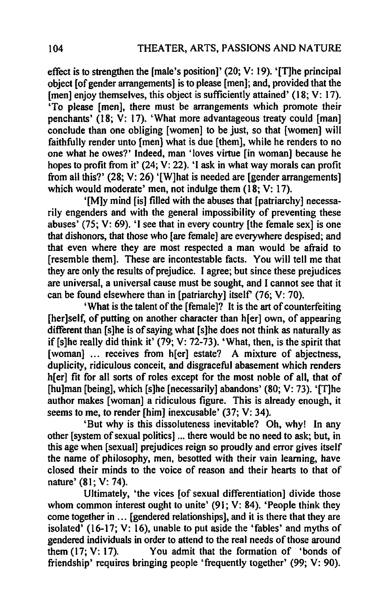effect is to strengthen the [male's position]' (20; V: 19). '[T]he principal object [of gender arrangements] is to please [men]; and, provided that the [men] enjoy themselves, this object is sufficiently attained' (18; V: 17). 'To please [men], there must be arrangements which promote their penchants' (18; V: 17). 'What more advantageous treaty could [man] conclude than one obliging [women] to be just, so that [women] will faithfully render unto [men) what is due [them], while he renders to no one what he owes?' Indeed, man 'loves virtue [in woman] because he hopes to profit from it' (24; V: 22). 'I ask in what way morals can profit from all this?' (28; V: 26) '[W]hat is needed are [gender arrangements] which would moderate' men, not indulge them (18; V: 17).

'[M]y mind [is] filled with the abuses that [patriarchy] necessarily engenders and with the general impossibility of preventing these abuses' (75; V: 69). 'I see that in every country [the female sex] is one that dishonors, that those who [are female] are everywhere despised; and that even where they are most respected a man would be afraid to [resemble them]. These are incontestable facts. You will tell me that they are only the results of prejudice. I agree; but since these prejudices are universal, a universal cause must be sought, and I cannot see that it can be found elsewhere than in [patriarchy] itself (76; V: 70).

'What is the talent of the [ female]? It is the art of counterfeiting [her]self, of putting on another character than h[er] own, of appearing different than [s]he is of saying what [s]he does not think as naturally as if [s]he really did think it'  $(79; V: 72-73)$ . 'What, then, is the spirit that [woman] ... receives from h[er] estate? A mixture of abjectness, duplicity. ridiculous conceit, and disgraceful abasement which renders h[er] fit for all sorts of roles except for the most noble of all, that of [hu]man [being], which [s]he [necessarily] abandons' (80; V: 73). '[T]he author makes [woman] a ridiculous figure. This is already enough, it seems to me, to render [him] inexcusable' (37; V: 34).

'But why is this dissoluteness inevitable? Oh, why! In any other [system of sexual politics] ... there would be no need to ask; but, in this age when [sexual] prejudices reign so proudly and error gives itself the name of philosophy, men, besotted with their vain learning, have closed their minds to the voice of reason and their hearts to that of nature' (81; V: 74).

Ultimately, 'the vices [of sexual differentiation] divide those whom common interest ought to unite' (91; V: 84). 'People think they come together in ... [gendered relationships]. and it is there that they are isolated' (16-17; V: 16), unable to put aside the 'fables' and myths of gendered individuals in order to attend to the real needs of those around them  $(17; V: 17)$ . You admit that the formation of 'bonds of You admit that the formation of 'bonds of friendship' requires bringing people 'frequently together' (99; V: 90).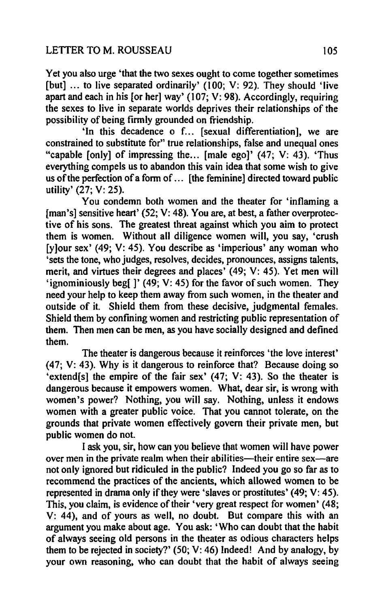Yet you also urge 'that the two sexes ought to come together sometimes [but] ... to live separated ordinarily' (100; V: 92). They should 'live apart and each in his [or her) way' (107; V: 98). Accordingly, requiring the sexes to live in separate worlds deprives their relationships of the possibility of being firmly grounded on friendship.

'In this decadence 0 f... [sexual differentiation), we are constrained to substitute for" true relationships, false and unequal ones "capable fonlyl of impressing the... [male ego]'  $(47; V: 43)$ . 'Thus everything compels us to abandon this vain idea that some wish to give us of the perfection of a fonn of ... [the feminine] directed toward public utility' (27; V: 25).

You condemn both women and the theater for 'inflaming a [man's] sensitive heart' (52; V: 48). You are, at best, a father overprotective of his sons. The greatest threat against which you aim to protect them is women. Without all diligence women will, you say, 'crush [y]our sex' (49; V: 45). You describe as 'imperious' any woman who 'sets the tone, who judges, resolves, decides, pronounces, assigns talents, merit, and virtues their degrees and places' (49; V: 45). Yet men will 'ignominiously beg[]' (49; V: 45) for the favor of such women. They need your help to keep them away from such women, in the theater and outside of it. Shield them from these decisive, judgmental females. Shield them by confining women and restricting public representation of them. Then men can be men, as you have socially designed and defined them.

The theater is dangerous because it reinforces 'the love interest' (47; V: 43). Why is it dangerous to reinforce that? Because doing so 'extend[s] the empire of the fair sex' (47; V: 43). So the theater is dangerous because it empowers women. What, dear sir, is wrong with women's power? Nothing, you will say. Nothing, unless it endows women with a greater public voice. That you cannot tolerate, on the grounds that private women effectively govern their private men, but public women do not.

I ask you, sir, how can you believe that women will have power over men in the private realm when their abilities—their entire sex—are not only ignored but ridiculed in the public? Indeed you go so far as to recommend the practices of the ancients, which allowed women to be represented in drama only if they were 'slaves or prostitutes' (49; V: 45). This, you claim, is evidence of their 'very great respect for women' (48; V: 44), and of yours as well, no doubt. But compare this with an argument you make about age. You ask: 'Who can doubt that the habit of always seeing old persons in the theater as odious characters helps them to be rejected in society?' (50; V: 46) Indeed! And by analogy, by your own reasoning, who can doubt that the habit of always seeing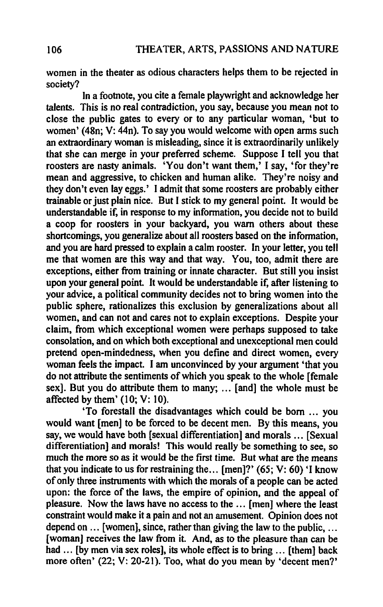women in the theater as odious characters helps them to be rejected in society?

In a footnote, you cite a female playwright and acknowledge her talents. This is no real contradiction, you say, because you mean not to close the public gates to every or to any particular woman, 'but to women' (48n; V: 44n). To say you would welcome with open arms such an extraordinary woman is misleading, since it is extraordinarily unlikely that she can merge in your preferred scheme. Suppose I tell you that roosters are nasty animals. 'You don't want them,' I say, 'for they're mean and aggressive, to chicken and human alike. They're noisy and they don't even lay eggs.' I admit that some roosters are probably either trainable or just plain nice. But I stick to my general point. It would be understandable if, in response to my information, you decide not to build a coop for roosters in your backyard, you warn others about these shortcomings, you generalize about all roosters based on the information, and you are hard pressed to explain a calm rooster. In your letter, you tell me that women are this way and that way. You, too, admit there are exceptions, either from training or innate character. But still you insist upon your general point. It would be understandable if, after listening to your advice, a political community decides not to bring women into the public sphere, rationalizes this exclusion by generalizations about all women, and can not and cares not to explain exceptions. Despite your claim, from which exceptional women were perhaps supposed to take consolation, and on which both exceptional and unexceptional men could pretend open-mindedness, when you define and direct women, every woman feels the impact. I am unconvinced by your argument 'that you do not attribute the sentiments of which you speak to the whole [female sex]. But you do attribute them to many; ... [and] the whole must be affected by them' (10; V: 10).

'To forestall the disadvantages which could be born ... you would want [men] to be forced to be decent men. By this means, you say, we would have both [sexual differentiation] and morals ... [Sexual differentiation] and morals! This would really be something to see, so much the more so as it would be the first time. But what are the means that you indicate to us for restraining the... [men]?' (65; V: 60) 'I know of only three instruments with which the morals of a people can be acted upon: the force of the laws, the empire of opinion, and the appeal of pleasure. Now the laws have no access to the ... [men] where the least constraint would make it a pain and not an amusement. Opinion does not depend on ... [women], since, rather than giving the law to the public, ... [woman] receives the law from it. And, as to the pleasure than can be had ... [by men via sex roles], its whole effect is to bring ... [them] back more often' (22; V: 20-21). Too, what do you mean by 'decent men?'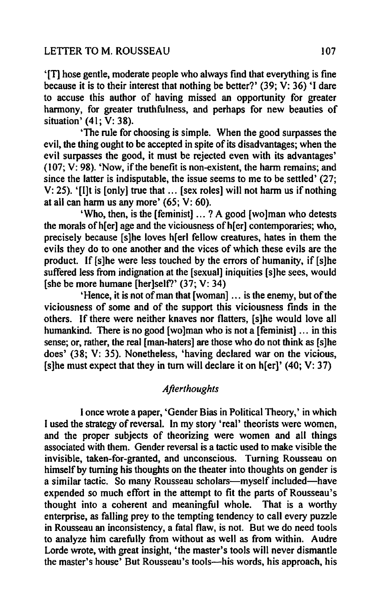'[T] hose gentle, moderate people who always fmd that everything is fme because it is to their interest that nothing be better?' (39; V: 36) 'I dare to accuse this author of having missed an opportunity for greater harmony, for greater truthfulness, and perhaps for new beauties of situation' (41; V: 38).

'The rule for choosing is simple. When the good surpasses the evil, the thing ought to be accepted in spite of its disadvantages; when the evil surpasses the good, it must be rejected even with its advantages' (107; V: 98). 'Now, if the benefit is non-existent, the harm remains; and since the latter is indisputable, the issue seems to me to be settled' (27; V: 25). '[I]t is [only] true that ... [sex roles] will not harm us if nothing at all can harm us any more' (65; V: 60).

'Who, then, is the [feminist] ... ? A good [wo]man who detests the morals of h[er] age and the viciousness of h[er] contemporaries; who, precisely because [s]he loves h[erl fellow creatures, hates in them the evils they do to one another and the vices of which these evils are the product. If [s]he were less touched by the errors of humanity, if [s)he suffered less from indignation at the [sexual] iniquities [s]he sees, would [she be more humane [her]self?'  $(37; V: 34)$ 

'Hence, it is not of man that [woman] ... is the enemy, but of the viciousness of some and of the support this viciousness finds in the others. If there were neither knaves nor flatters, [s ]he would love all humankind. There is no good [wolman who is not a [feminist] ... in this sense; or, rather, the real [man-haters] are those who do not think as [s]he does' (38; V: 35). Nonetheless, 'having declared war on the vicious, [s]he must expect that they in turn will declare it on  $h[er]'$  (40; V: 37)

#### *Afterthoughts*

I once wrote a paper, 'Gender Bias in Political Theory,' in which I used the strategy of reversal. In my story 'real' theorists were women, and the proper subjects of theorizing were women and all things associated with them. Gender reversal is a tactic used to make visible the invisible, taken-for-granted, and unconscious. Turning Rousseau on himself by turning his thoughts on the theater into thoughts on gender is a similar tactic. So many Rousseau scholars—myself included—have expended so much effort in the attempt to fit the parts of Rousseau's thought into a coherent and meaningful whole. That is a worthy enterprise, as falling prey to the tempting tendency to call every puzzle in Rousseau an inconsistency, a fatal flaw, is not. But we do need tools to analyze him carefully from without as well as from within. Audre Lorde wrote, with great insight, 'the master's tools will never dismantle the master's house' But Rousseau's tools-his words, his approach, his